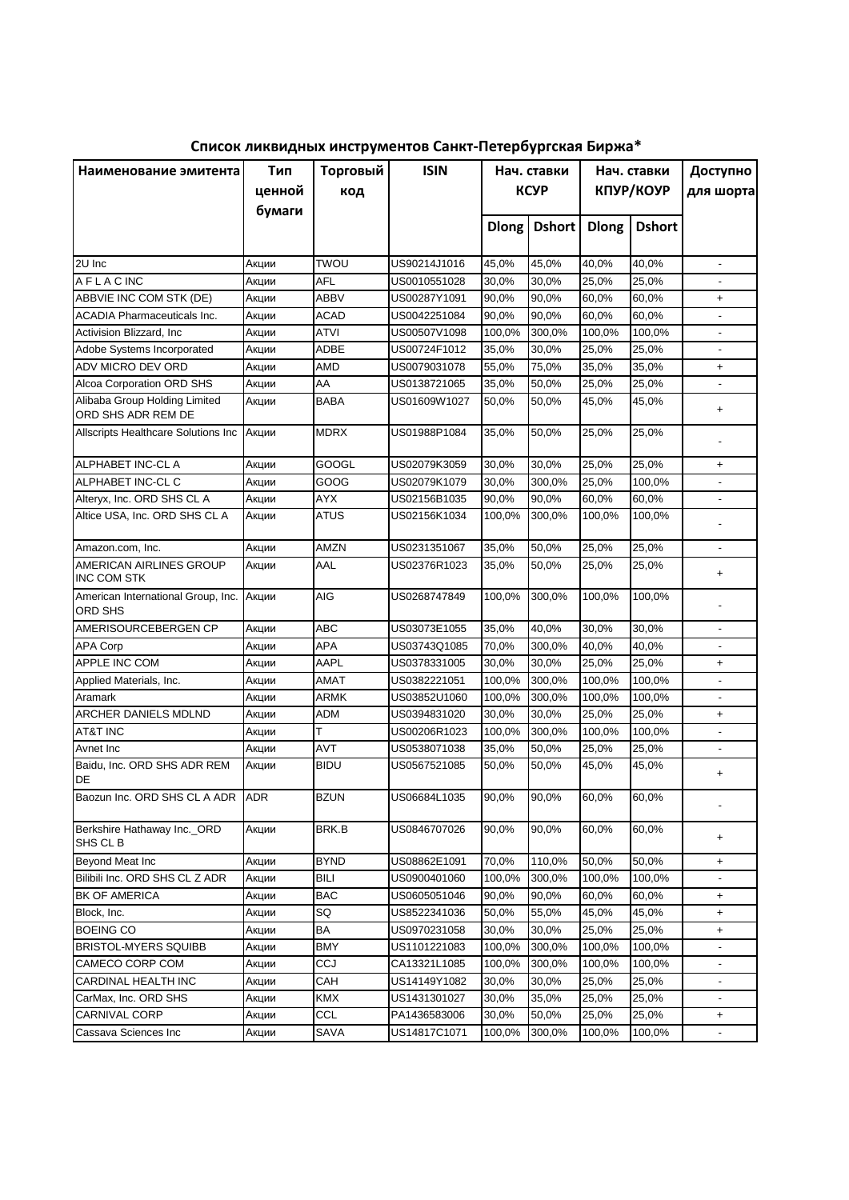| Наименование эмитента                               | Тип<br>ценной<br>бумаги | Торговый<br>код | <b>ISIN</b>  | Нач. ставки<br><b>KCYP</b> |               | Нач. ставки<br>КПУР/КОУР |               | Доступно<br>для шорта    |
|-----------------------------------------------------|-------------------------|-----------------|--------------|----------------------------|---------------|--------------------------|---------------|--------------------------|
|                                                     |                         |                 |              | <b>Dlong</b>               | <b>Dshort</b> | <b>Dlong</b>             | <b>Dshort</b> |                          |
| 2U Inc                                              | Акции                   | TWOU            | US90214J1016 | 45,0%                      | 45,0%         | 40,0%                    | 40,0%         | $\overline{\phantom{a}}$ |
| <b>AFLACINC</b>                                     | Акции                   | AFL             | US0010551028 | 30,0%                      | 30,0%         | 25,0%                    | 25,0%         |                          |
| ABBVIE INC COM STK (DE)                             | Акции                   | ABBV            | US00287Y1091 | 90,0%                      | 90,0%         | 60,0%                    | 60,0%         | $\ddot{}$                |
| <b>ACADIA Pharmaceuticals Inc.</b>                  | Акции                   | <b>ACAD</b>     | US0042251084 | 90,0%                      | 90,0%         | 60,0%                    | 60,0%         | $\overline{\phantom{a}}$ |
| Activision Blizzard, Inc.                           | Акции                   | ATVI            | US00507V1098 | 100,0%                     | 300,0%        | 100,0%                   | 100,0%        | $\overline{\phantom{a}}$ |
| Adobe Systems Incorporated                          | Акции                   | ADBE            | US00724F1012 | 35,0%                      | 30,0%         | 25,0%                    | 25,0%         | $\overline{\phantom{a}}$ |
| ADV MICRO DEV ORD                                   | Акции                   | AMD             | US0079031078 | 55,0%                      | 75,0%         | 35,0%                    | 35,0%         | $\pmb{+}$                |
| Alcoa Corporation ORD SHS                           | Акции                   | AA              | US0138721065 | 35,0%                      | 50,0%         | 25,0%                    | 25,0%         |                          |
| Alibaba Group Holding Limited<br>ORD SHS ADR REM DE | Акции                   | <b>BABA</b>     | US01609W1027 | 50,0%                      | 50,0%         | 45,0%                    | 45,0%         | $\pmb{+}$                |
| Allscripts Healthcare Solutions Inc                 | Акции                   | <b>MDRX</b>     | US01988P1084 | 35,0%                      | 50,0%         | 25,0%                    | 25,0%         |                          |
| ALPHABET INC-CL A                                   | Акции                   | GOOGL           | US02079K3059 | 30,0%                      | 30,0%         | 25,0%                    | 25,0%         | $\ddot{}$                |
| ALPHABET INC-CL C                                   | Акции                   | GOOG            | US02079K1079 | 30,0%                      | 300,0%        | 25,0%                    | 100,0%        |                          |
| Alteryx, Inc. ORD SHS CL A                          | Акции                   | <b>AYX</b>      | US02156B1035 | 90,0%                      | 90,0%         | 60,0%                    | 60,0%         |                          |
| Altice USA, Inc. ORD SHS CL A                       | Акции                   | <b>ATUS</b>     | US02156K1034 | 100,0%                     | 300,0%        | 100,0%                   | 100.0%        |                          |
| Amazon.com, Inc.                                    | Акции                   | AMZN            | US0231351067 | 35,0%                      | 50,0%         | 25,0%                    | 25,0%         | $\blacksquare$           |
| AMERICAN AIRLINES GROUP<br><b>INC COM STK</b>       | Акции                   | AAL             | US02376R1023 | 35,0%                      | 50,0%         | 25,0%                    | 25,0%         | $\ddot{}$                |
| American International Group, Inc.<br>ORD SHS       | Акции                   | AIG             | US0268747849 | 100,0%                     | 300,0%        | 100,0%                   | 100,0%        |                          |
| AMERISOURCEBERGEN CP                                | Акции                   | <b>ABC</b>      | US03073E1055 | 35,0%                      | 40,0%         | 30,0%                    | 30,0%         |                          |
| <b>APA Corp</b>                                     | Акции                   | APA             | US03743Q1085 | 70,0%                      | 300,0%        | 40,0%                    | 40,0%         |                          |
| APPLE INC COM                                       | Акции                   | AAPL            | US0378331005 | 30,0%                      | 30,0%         | 25,0%                    | 25,0%         | $\ddot{}$                |
| Applied Materials, Inc.                             | Акции                   | AMAT            | US0382221051 | 100,0%                     | 300,0%        | 100,0%                   | 100,0%        |                          |
| Aramark                                             | Акции                   | <b>ARMK</b>     | US03852U1060 | 100,0%                     | 300,0%        | 100,0%                   | 100,0%        |                          |
| ARCHER DANIELS MDLND                                | Акции                   | <b>ADM</b>      | US0394831020 | 30,0%                      | 30,0%         | 25,0%                    | 25,0%         | $\ddot{}$                |
| <b>AT&amp;T INC</b>                                 | Акции                   | T               | US00206R1023 | 100,0%                     | 300,0%        | 100,0%                   | 100,0%        |                          |
| Avnet Inc                                           | Акции                   | <b>AVT</b>      | US0538071038 | 35,0%                      | 50,0%         | 25,0%                    | 25,0%         | $\overline{a}$           |
| Baidu, Inc. ORD SHS ADR REM<br>DE                   | Акции                   | <b>BIDU</b>     | US0567521085 | 50,0%                      | 50,0%         | 45,0%                    | 45,0%         | $\ddot{}$                |
| Baozun Inc. ORD SHS CL A ADR                        | ADR                     | <b>BZUN</b>     | US06684L1035 | 90,0%                      | 90,0%         | 60,0%                    | 60,0%         |                          |
| Berkshire Hathaway Inc._ORD<br>SHS CL B             | Акции                   | BRK.B           | US0846707026 | 90,0%                      | 90,0%         | 60,0%                    | 60,0%         | $\ddot{}$                |
| <b>Beyond Meat Inc</b>                              | Акции                   | <b>BYND</b>     | US08862E1091 | 70,0%                      | 110,0%        | 50,0%                    | 50,0%         | $\ddot{}$                |
| Bilibili Inc. ORD SHS CL Z ADR                      | Акции                   | <b>BILI</b>     | US0900401060 | 100,0%                     | 300,0%        | 100,0%                   | 100,0%        | $\overline{\phantom{a}}$ |
| <b>BK OF AMERICA</b>                                | Акции                   | <b>BAC</b>      | US0605051046 | 90,0%                      | 90,0%         | 60,0%                    | 60,0%         | $\ddot{}$                |
| Block, Inc.                                         | Акции                   | SQ              | US8522341036 | 50,0%                      | 55,0%         | 45,0%                    | 45,0%         | $\ddot{}$                |
| <b>BOEING CO</b>                                    | Акции                   | BA              | US0970231058 | 30,0%                      | 30,0%         | 25,0%                    | 25,0%         | $\ddot{}$                |
| <b>BRISTOL-MYERS SQUIBB</b>                         | Акции                   | <b>BMY</b>      | US1101221083 | 100,0%                     | 300,0%        | 100,0%                   | 100,0%        | $\overline{\phantom{a}}$ |
| CAMECO CORP COM                                     | Акции                   | CCJ             | CA13321L1085 | 100,0%                     | 300,0%        | 100,0%                   | 100,0%        | $\overline{\phantom{a}}$ |
| CARDINAL HEALTH INC                                 | Акции                   | CAH             | US14149Y1082 | 30,0%                      | 30,0%         | 25,0%                    | 25,0%         | $\overline{\phantom{a}}$ |
| CarMax, Inc. ORD SHS                                | Акции                   | <b>KMX</b>      | US1431301027 | 30,0%                      | 35,0%         | 25,0%                    | 25,0%         | $\overline{\phantom{a}}$ |
| <b>CARNIVAL CORP</b>                                | Акции                   | <b>CCL</b>      | PA1436583006 | 30,0%                      | 50,0%         | 25,0%                    | 25,0%         | $\ddot{}$                |
| Cassava Sciences Inc                                | Акции                   | SAVA            | US14817C1071 | 100,0%                     | 300,0%        | 100,0%                   | 100,0%        | $\overline{\phantom{a}}$ |

**Список ликвидных инструментов Санкт-Петербургская Биржа\***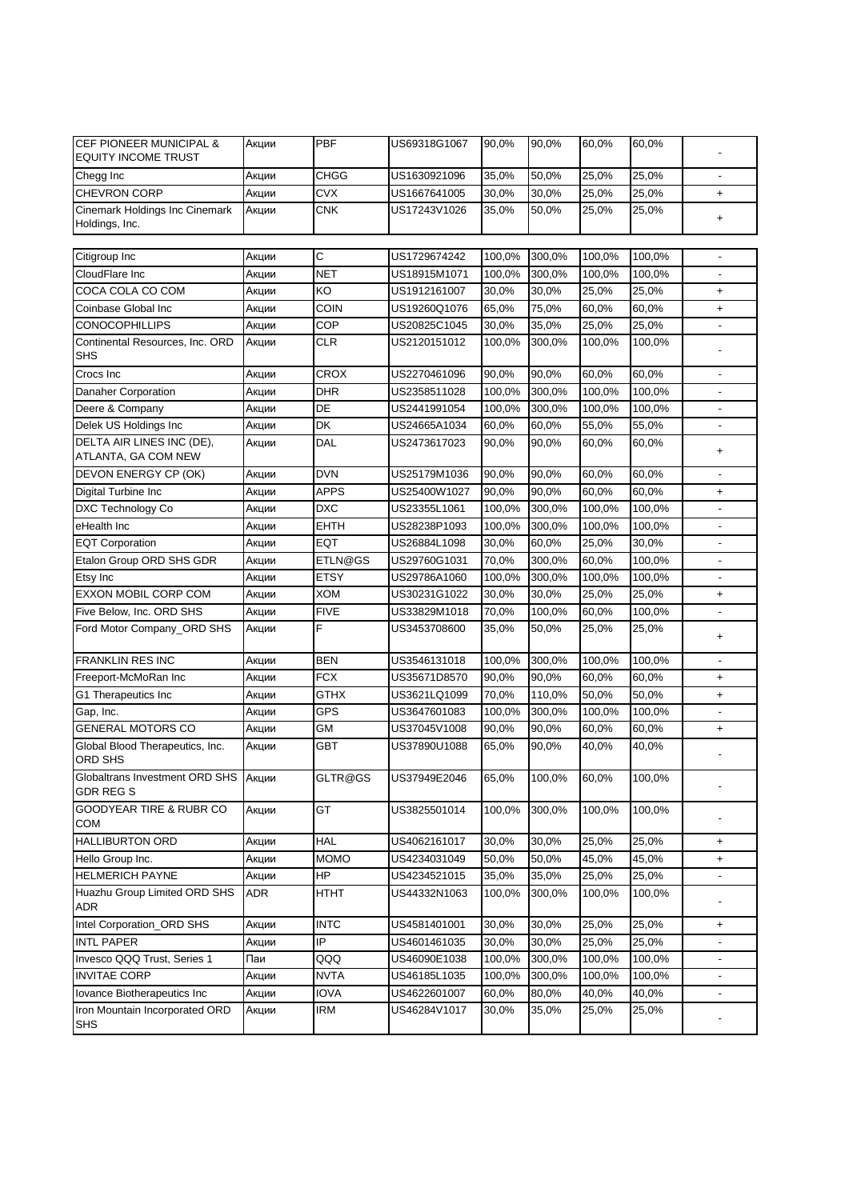| <b>CEF PIONEER MUNICIPAL &amp;</b><br><b>EQUITY INCOME TRUST</b> | Акции | <b>PBF</b>  | US69318G1067 | 90,0%  | 90,0%  | 60,0%  | 60,0%  |                          |
|------------------------------------------------------------------|-------|-------------|--------------|--------|--------|--------|--------|--------------------------|
| Chegg Inc                                                        | Акции | <b>CHGG</b> | US1630921096 | 35,0%  | 50,0%  | 25,0%  | 25,0%  |                          |
| <b>CHEVRON CORP</b>                                              | Акции | <b>CVX</b>  | US1667641005 | 30,0%  | 30,0%  | 25,0%  | 25,0%  | $\ddot{}$                |
| Cinemark Holdings Inc Cinemark<br>Holdings, Inc.                 | Акции | <b>CNK</b>  | US17243V1026 | 35,0%  | 50,0%  | 25,0%  | 25,0%  | $\ddot{}$                |
| Citigroup Inc                                                    | Акции | С           | US1729674242 | 100,0% | 300,0% | 100,0% | 100,0% | $\overline{a}$           |
| CloudFlare Inc                                                   | Акции | <b>NET</b>  | US18915M1071 | 100,0% | 300,0% | 100,0% | 100,0% | ÷,                       |
| COCA COLA CO COM                                                 | Акции | KO          | US1912161007 | 30,0%  | 30,0%  | 25,0%  | 25,0%  | $\ddot{}$                |
| Coinbase Global Inc                                              | Акции | <b>COIN</b> | US19260Q1076 | 65,0%  | 75,0%  | 60,0%  | 60,0%  | $\ddot{}$                |
| <b>CONOCOPHILLIPS</b>                                            | Акции | COP         | US20825C1045 | 30,0%  | 35,0%  | 25,0%  | 25,0%  | $\overline{a}$           |
| Continental Resources, Inc. ORD                                  | Акции | <b>CLR</b>  | US2120151012 | 100,0% | 300,0% | 100,0% | 100,0% |                          |
| SHS                                                              |       |             |              |        |        |        |        |                          |
| Crocs Inc                                                        | Акции | <b>CROX</b> | US2270461096 | 90,0%  | 90,0%  | 60,0%  | 60,0%  |                          |
| <b>Danaher Corporation</b>                                       | Акции | <b>DHR</b>  | US2358511028 | 100,0% | 300,0% | 100,0% | 100,0% |                          |
| Deere & Company                                                  | Акции | DE          | US2441991054 | 100,0% | 300,0% | 100,0% | 100,0% |                          |
| Delek US Holdings Inc                                            | Акции | DK          | US24665A1034 | 60,0%  | 60,0%  | 55,0%  | 55,0%  |                          |
| DELTA AIR LINES INC (DE),<br>ATLANTA, GA COM NEW                 | Акции | DAL         | US2473617023 | 90,0%  | 90,0%  | 60,0%  | 60,0%  | $\ddot{}$                |
| DEVON ENERGY CP (OK)                                             | Акции | <b>DVN</b>  | US25179M1036 | 90,0%  | 90,0%  | 60,0%  | 60,0%  |                          |
| Digital Turbine Inc                                              | Акции | <b>APPS</b> | US25400W1027 | 90,0%  | 90,0%  | 60,0%  | 60,0%  | $\ddot{}$                |
| <b>DXC Technology Co</b>                                         | Акции | <b>DXC</b>  | US23355L1061 | 100,0% | 300,0% | 100,0% | 100,0% |                          |
| eHealth Inc                                                      | Акции | <b>EHTH</b> | US28238P1093 | 100,0% | 300,0% | 100,0% | 100,0% |                          |
| <b>EQT Corporation</b>                                           | Акции | <b>EQT</b>  | US26884L1098 | 30,0%  | 60,0%  | 25,0%  | 30,0%  |                          |
| Etalon Group ORD SHS GDR                                         | Акции | ETLN@GS     | US29760G1031 | 70,0%  | 300,0% | 60,0%  | 100,0% |                          |
| Etsy Inc                                                         | Акции | <b>ETSY</b> | US29786A1060 | 100,0% | 300,0% | 100,0% | 100,0% |                          |
| <b>EXXON MOBIL CORP COM</b>                                      | Акции | <b>XOM</b>  | US30231G1022 | 30,0%  | 30,0%  | 25,0%  | 25,0%  | $\ddot{}$                |
| Five Below, Inc. ORD SHS                                         | Акции | <b>FIVE</b> | US33829M1018 | 70,0%  | 100,0% | 60,0%  | 100,0% |                          |
| Ford Motor Company_ORD SHS                                       | Акции | F           | US3453708600 | 35,0%  | 50,0%  | 25,0%  | 25,0%  | $\ddot{}$                |
| <b>FRANKLIN RES INC</b>                                          | Акции | <b>BEN</b>  | US3546131018 | 100,0% | 300,0% | 100,0% | 100,0% |                          |
| Freeport-McMoRan Inc                                             | Акции | <b>FCX</b>  | US35671D8570 | 90,0%  | 90,0%  | 60,0%  | 60,0%  | $\ddot{}$                |
| G1 Therapeutics Inc                                              | Акции | <b>GTHX</b> | US3621LQ1099 | 70,0%  | 110,0% | 50,0%  | 50,0%  | $\ddot{}$                |
| Gap, Inc.                                                        | Акции | <b>GPS</b>  | US3647601083 | 100,0% | 300,0% | 100,0% | 100,0% |                          |
| <b>GENERAL MOTORS CO</b>                                         | Акции | GM          | US37045V1008 | 90,0%  | 90,0%  | 60,0%  | 60,0%  | $\ddot{}$                |
| Global Blood Therapeutics, Inc.<br>ORD SHS                       | Акции | <b>GBT</b>  | US37890U1088 | 65,0%  | 90,0%  | 40,0%  | 40,0%  |                          |
| Globaltrans Investment ORD SHS<br>GDR REG S                      | Акции | GLTR@GS     | US37949E2046 | 65,0%  | 100,0% | 60,0%  | 100,0% |                          |
| GOODYEAR TIRE & RUBR CO<br>COM                                   | Акции | GT          | US3825501014 | 100,0% | 300,0% | 100,0% | 100,0% |                          |
| <b>HALLIBURTON ORD</b>                                           | Акции | <b>HAL</b>  | US4062161017 | 30,0%  | 30,0%  | 25,0%  | 25,0%  | $\ddot{}$                |
| Hello Group Inc.                                                 | Акции | <b>MOMO</b> | US4234031049 | 50,0%  | 50,0%  | 45,0%  | 45,0%  | $\ddot{}$                |
| <b>HELMERICH PAYNE</b>                                           | Акции | HP          | US4234521015 | 35,0%  | 35,0%  | 25,0%  | 25,0%  |                          |
| Huazhu Group Limited ORD SHS<br>ADR                              | ADR   | <b>HTHT</b> | US44332N1063 | 100,0% | 300,0% | 100,0% | 100,0% |                          |
| Intel Corporation ORD SHS                                        | Акции | <b>INTC</b> | US4581401001 | 30,0%  | 30,0%  | 25,0%  | 25,0%  | $\ddot{}$                |
| <b>INTL PAPER</b>                                                | Акции | IP          | US4601461035 | 30,0%  | 30,0%  | 25,0%  | 25,0%  |                          |
| Invesco QQQ Trust, Series 1                                      | Паи   | QQQ         | US46090E1038 | 100,0% | 300,0% | 100,0% | 100,0% | $\overline{\phantom{0}}$ |
| <b>INVITAE CORP</b>                                              | Акции | <b>NVTA</b> | US46185L1035 | 100,0% | 300,0% | 100,0% | 100,0% | $\overline{\phantom{0}}$ |
| Iovance Biotherapeutics Inc                                      | Акции | <b>IOVA</b> | US4622601007 | 60,0%  | 80,0%  | 40,0%  | 40,0%  | $\overline{\phantom{0}}$ |
| Iron Mountain Incorporated ORD<br><b>SHS</b>                     | Акции | IRM         | US46284V1017 | 30,0%  | 35,0%  | 25,0%  | 25,0%  | ٠                        |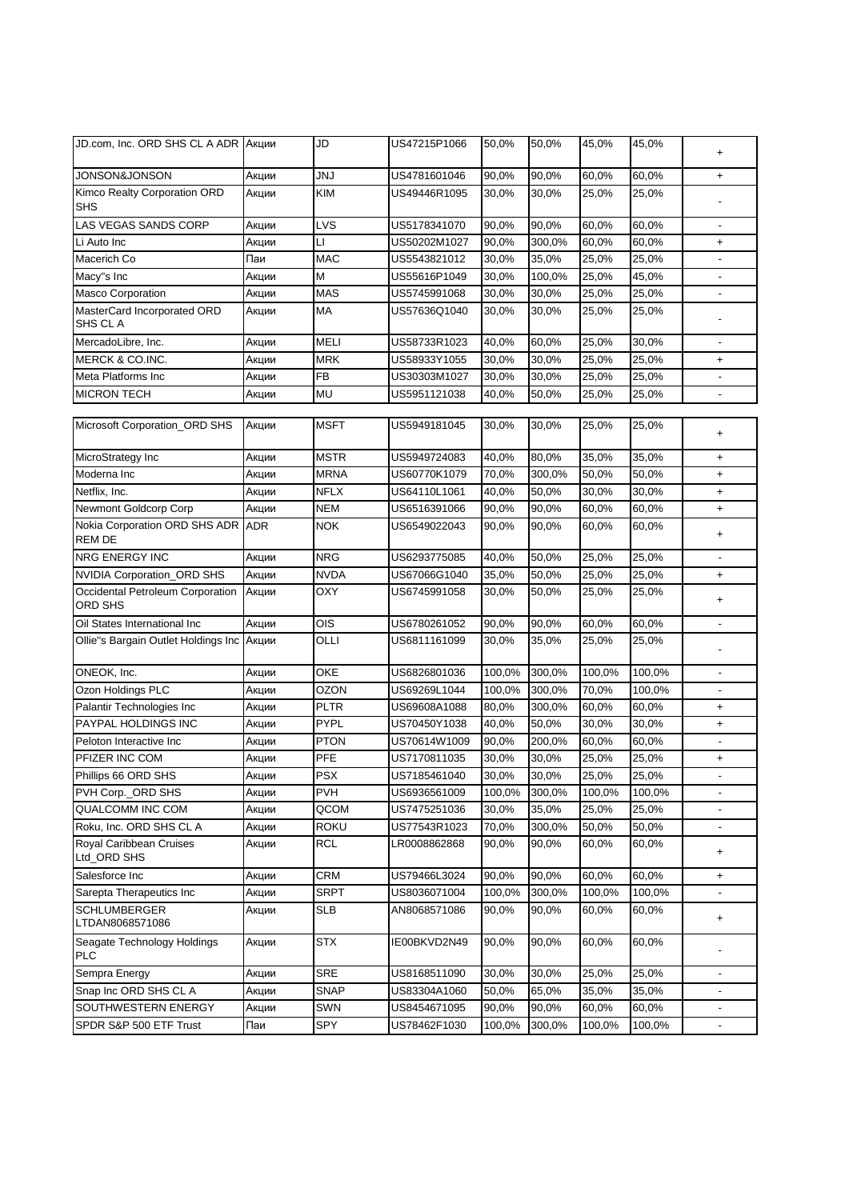| JD.com, Inc. ORD SHS CL A ADR   Акции          |            | JD          | US47215P1066 | 50,0%  | 50,0%  | 45,0%  | 45,0%  | +                        |
|------------------------------------------------|------------|-------------|--------------|--------|--------|--------|--------|--------------------------|
| JONSON&JONSON                                  | Акции      | <b>JNJ</b>  | US4781601046 | 90,0%  | 90,0%  | 60,0%  | 60,0%  | $\ddot{}$                |
| Kimco Realty Corporation ORD<br>SHS            | Акции      | <b>KIM</b>  | US49446R1095 | 30,0%  | 30,0%  | 25,0%  | 25,0%  |                          |
| <b>LAS VEGAS SANDS CORP</b>                    | Акции      | LVS         | US5178341070 | 90,0%  | 90,0%  | 60,0%  | 60,0%  | $\overline{\phantom{a}}$ |
| Li Auto Inc                                    | Акции      | П           | US50202M1027 | 90,0%  | 300,0% | 60,0%  | 60,0%  | $\ddot{}$                |
| Macerich Co                                    | Паи        | <b>MAC</b>  | US5543821012 | 30,0%  | 35,0%  | 25,0%  | 25,0%  | $\overline{\phantom{a}}$ |
| Macy"s Inc                                     | Акции      | М           | US55616P1049 | 30,0%  | 100,0% | 25,0%  | 45,0%  | $\overline{\phantom{a}}$ |
| <b>Masco Corporation</b>                       | Акции      | <b>MAS</b>  | US5745991068 | 30,0%  | 30,0%  | 25,0%  | 25,0%  | $\blacksquare$           |
| MasterCard Incorporated ORD<br>SHS CL A        | Акции      | MA          | US57636Q1040 | 30,0%  | 30,0%  | 25,0%  | 25,0%  |                          |
| MercadoLibre, Inc.                             | Акции      | <b>MELI</b> | US58733R1023 | 40,0%  | 60,0%  | 25,0%  | 30,0%  | $\overline{\phantom{a}}$ |
| MERCK & CO.INC.                                | Акции      | <b>MRK</b>  | US58933Y1055 | 30,0%  | 30,0%  | 25,0%  | 25,0%  | $\ddot{}$                |
| Meta Platforms Inc                             | Акции      | <b>FB</b>   | US30303M1027 | 30,0%  | 30,0%  | 25,0%  | 25,0%  |                          |
| <b>MICRON TECH</b>                             | Акции      | MU          | US5951121038 | 40,0%  | 50,0%  | 25,0%  | 25,0%  | $\blacksquare$           |
| Microsoft Corporation_ORD SHS                  | Акции      | <b>MSFT</b> | US5949181045 | 30,0%  | 30,0%  | 25,0%  | 25,0%  |                          |
|                                                |            |             |              |        |        |        |        | +                        |
| MicroStrategy Inc                              | Акции      | <b>MSTR</b> | US5949724083 | 40,0%  | 80,0%  | 35,0%  | 35,0%  | $\ddot{}$                |
| Moderna Inc                                    | Акции      | <b>MRNA</b> | US60770K1079 | 70,0%  | 300,0% | 50,0%  | 50,0%  | $\ddot{}$                |
| Netflix, Inc.                                  | Акции      | <b>NFLX</b> | US64110L1061 | 40,0%  | 50,0%  | 30,0%  | 30,0%  | $\ddot{}$                |
| Newmont Goldcorp Corp                          | Акции      | <b>NEM</b>  | US6516391066 | 90,0%  | 90,0%  | 60,0%  | 60,0%  | $\ddot{}$                |
| Nokia Corporation ORD SHS ADR<br><b>REM DE</b> | <b>ADR</b> | <b>NOK</b>  | US6549022043 | 90,0%  | 90,0%  | 60,0%  | 60,0%  | +                        |
| NRG ENERGY INC                                 | Акции      | <b>NRG</b>  | US6293775085 | 40,0%  | 50,0%  | 25,0%  | 25,0%  |                          |
| NVIDIA Corporation_ORD SHS                     | Акции      | <b>NVDA</b> | US67066G1040 | 35,0%  | 50,0%  | 25,0%  | 25,0%  | $\ddot{}$                |
| Occidental Petroleum Corporation<br>ORD SHS    | Акции      | OXY         | US6745991058 | 30,0%  | 50,0%  | 25,0%  | 25,0%  | +                        |
| Oil States International Inc                   | Акции      | OIS         | US6780261052 | 90,0%  | 90,0%  | 60,0%  | 60,0%  |                          |
| Ollie"s Bargain Outlet Holdings Inc            | Акции      | OLLI        | US6811161099 | 30,0%  | 35,0%  | 25,0%  | 25,0%  |                          |
| ONEOK, Inc.                                    | Акции      | OKE         | US6826801036 | 100,0% | 300,0% | 100,0% | 100,0% |                          |
| Ozon Holdings PLC                              | Акции      | <b>OZON</b> | US69269L1044 | 100,0% | 300,0% | 70,0%  | 100,0% |                          |
| Palantir Technologies Inc                      | Акции      | <b>PLTR</b> | US69608A1088 | 80,0%  | 300,0% | 60,0%  | 60,0%  | $\ddot{}$                |
| PAYPAL HOLDINGS INC                            | Акции      | <b>PYPL</b> | US70450Y1038 | 40,0%  | 50,0%  | 30,0%  | 30,0%  | $\ddot{}$                |
| Peloton Interactive Inc                        | Акции      | <b>PTON</b> | US70614W1009 | 90,0%  | 200,0% | 60,0%  | 60,0%  |                          |
| PFIZER INC COM                                 | Акции      | <b>PFE</b>  | US7170811035 | 30,0%  | 30,0%  | 25,0%  | 25,0%  | $\ddot{}$                |
| Phillips 66 ORD SHS                            | Акции      | <b>PSX</b>  | US7185461040 | 30,0%  | 30,0%  | 25,0%  | 25,0%  |                          |
| PVH Corp._ORD SHS                              | Акции      | <b>PVH</b>  | US6936561009 | 100,0% | 300,0% | 100,0% | 100,0% |                          |
| QUALCOMM INC COM                               | Акции      | QCOM        | US7475251036 | 30,0%  | 35,0%  | 25,0%  | 25,0%  |                          |
| Roku, Inc. ORD SHS CL A                        | Акции      | <b>ROKU</b> | US77543R1023 | 70,0%  | 300,0% | 50,0%  | 50,0%  |                          |
| Royal Caribbean Cruises<br>Ltd_ORD SHS         | Акции      | <b>RCL</b>  | LR0008862868 | 90,0%  | 90,0%  | 60,0%  | 60,0%  | +                        |
| Salesforce Inc                                 | Акции      | <b>CRM</b>  | US79466L3024 | 90,0%  | 90,0%  | 60,0%  | 60,0%  | $\ddot{}$                |
| Sarepta Therapeutics Inc                       | Акции      | <b>SRPT</b> | US8036071004 | 100,0% | 300,0% | 100,0% | 100,0% |                          |
| <b>SCHLUMBERGER</b><br>LTDAN8068571086         | Акции      | <b>SLB</b>  | AN8068571086 | 90,0%  | 90,0%  | 60,0%  | 60,0%  | +                        |
| Seagate Technology Holdings<br>PLC             | Акции      | <b>STX</b>  | IE00BKVD2N49 | 90,0%  | 90,0%  | 60,0%  | 60,0%  |                          |
| Sempra Energy                                  | Акции      | <b>SRE</b>  | US8168511090 | 30,0%  | 30,0%  | 25,0%  | 25,0%  |                          |
| Snap Inc ORD SHS CL A                          | Акции      | <b>SNAP</b> | US83304A1060 | 50,0%  | 65,0%  | 35,0%  | 35,0%  |                          |
| SOUTHWESTERN ENERGY                            | Акции      | SWN         | US8454671095 | 90,0%  | 90,0%  | 60,0%  | 60,0%  |                          |
| SPDR S&P 500 ETF Trust                         | Паи        | SPY         | US78462F1030 | 100,0% | 300,0% | 100,0% | 100,0% |                          |
|                                                |            |             |              |        |        |        |        |                          |